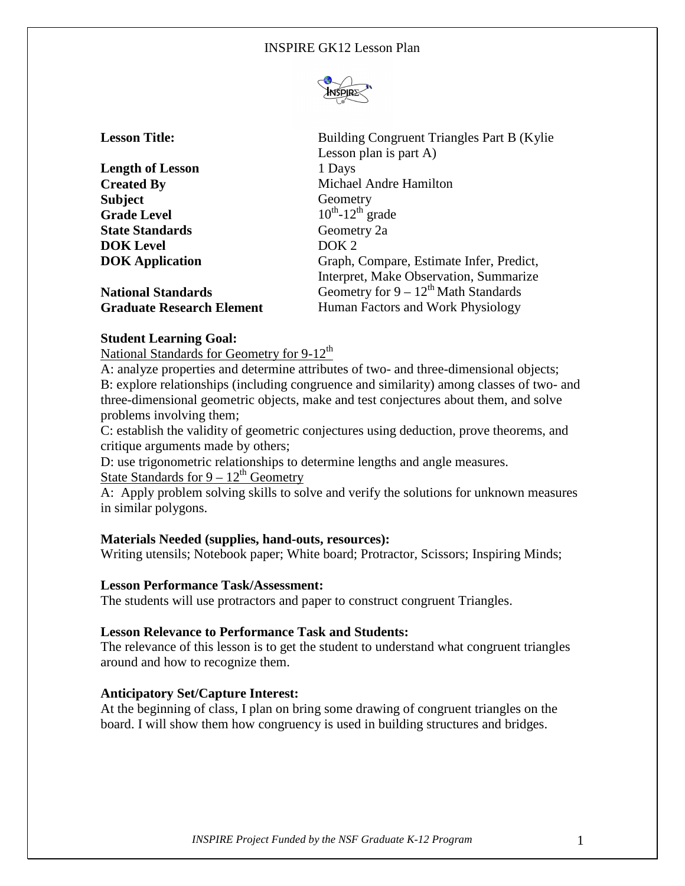

| <b>Lesson Title:</b> |  |
|----------------------|--|
|----------------------|--|

**Length of Lesson** 1 Days **Subject** Geometry **Grade Level** 10<sup>th</sup>-12<sup>th</sup> grade **State Standards Geometry 2a DOK Level** DOK 2

**Lesson Title:** Building Congruent Triangles Part B (Kylie Lesson plan is part A) **Created By** Michael Andre Hamilton **DOK Application Graph, Compare, Estimate Infer, Predict,** Interpret, Make Observation, Summarize **National Standards Geometry for 9 – 12<sup>th</sup> Math Standards Graduate Research Element** Human Factors and Work Physiology

# **Student Learning Goal:**

National Standards for Geometry for 9-12<sup>th</sup>

A: analyze properties and determine attributes of two- and three-dimensional objects; B: explore relationships (including congruence and similarity) among classes of two- and three-dimensional geometric objects, make and test conjectures about them, and solve problems involving them;

C: establish the validity of geometric conjectures using deduction, prove theorems, and critique arguments made by others;

D: use trigonometric relationships to determine lengths and angle measures. State Standards for  $9 - 12<sup>th</sup>$  Geometry

A: Apply problem solving skills to solve and verify the solutions for unknown measures in similar polygons.

## **Materials Needed (supplies, hand-outs, resources):**

Writing utensils; Notebook paper; White board; Protractor, Scissors; Inspiring Minds;

## **Lesson Performance Task/Assessment:**

The students will use protractors and paper to construct congruent Triangles.

## **Lesson Relevance to Performance Task and Students:**

The relevance of this lesson is to get the student to understand what congruent triangles around and how to recognize them.

## **Anticipatory Set/Capture Interest:**

At the beginning of class, I plan on bring some drawing of congruent triangles on the board. I will show them how congruency is used in building structures and bridges.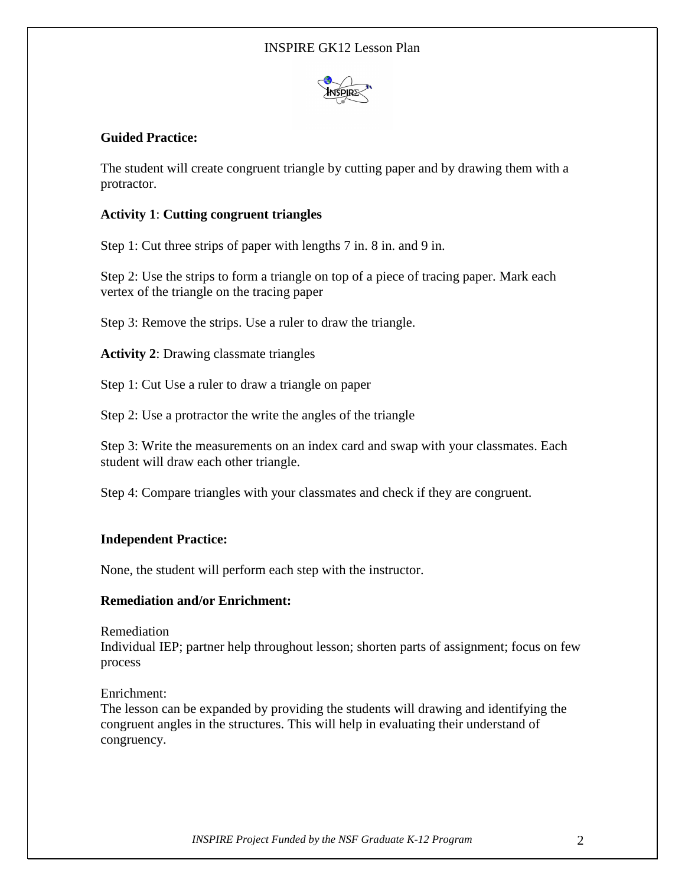

# **Guided Practice:**

The student will create congruent triangle by cutting paper and by drawing them with a protractor.

# **Activity 1**: **Cutting congruent triangles**

Step 1: Cut three strips of paper with lengths 7 in. 8 in. and 9 in.

Step 2: Use the strips to form a triangle on top of a piece of tracing paper. Mark each vertex of the triangle on the tracing paper

Step 3: Remove the strips. Use a ruler to draw the triangle.

**Activity 2**: Drawing classmate triangles

Step 1: Cut Use a ruler to draw a triangle on paper

Step 2: Use a protractor the write the angles of the triangle

Step 3: Write the measurements on an index card and swap with your classmates. Each student will draw each other triangle.

Step 4: Compare triangles with your classmates and check if they are congruent.

# **Independent Practice:**

None, the student will perform each step with the instructor.

# **Remediation and/or Enrichment:**

Remediation

Individual IEP; partner help throughout lesson; shorten parts of assignment; focus on few process

Enrichment:

The lesson can be expanded by providing the students will drawing and identifying the congruent angles in the structures. This will help in evaluating their understand of congruency.